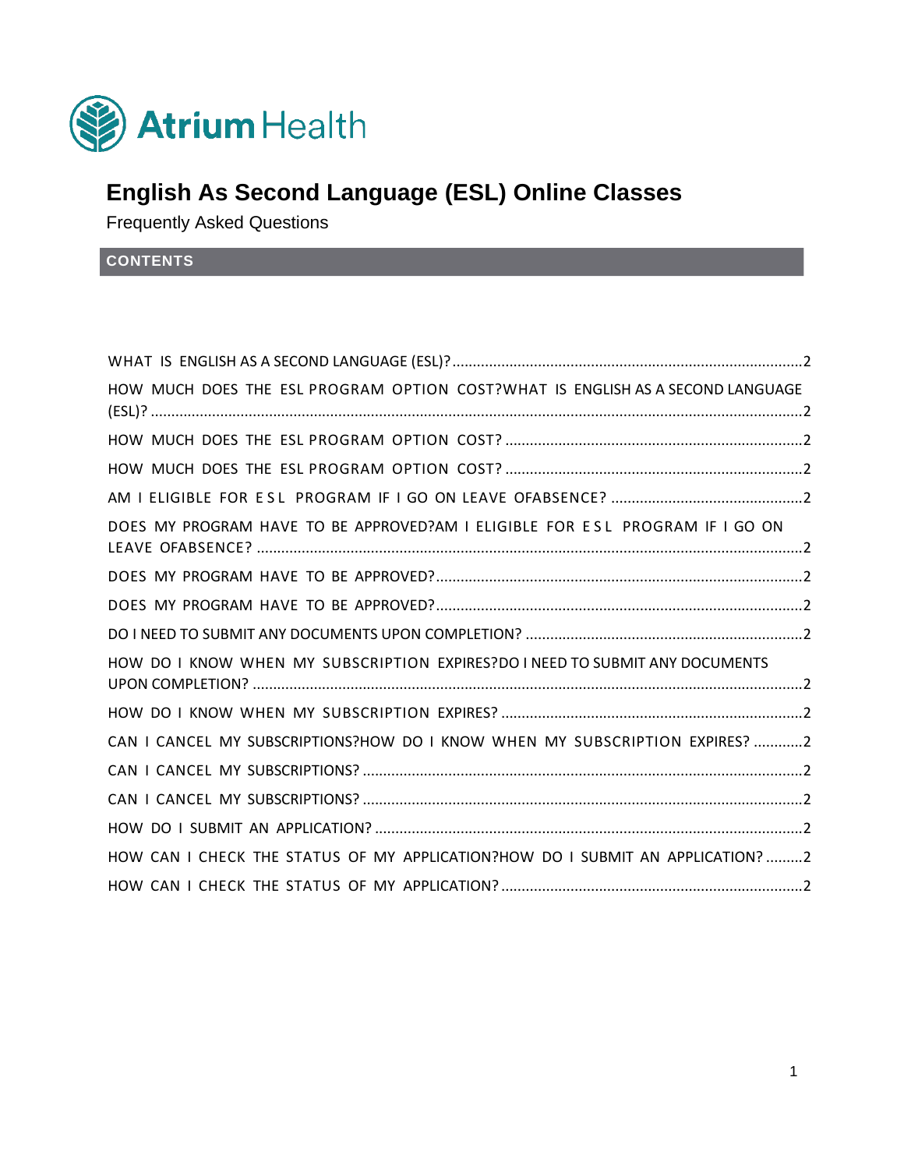

# **English As Second Language (ESL) Online Classes**

Frequently Asked Questions

**CONTENTS**

| HOW MUCH DOES THE ESL PROGRAM OPTION COST?WHAT IS ENGLISH AS A SECOND LANGUAGE |  |
|--------------------------------------------------------------------------------|--|
|                                                                                |  |
|                                                                                |  |
|                                                                                |  |
| DOES MY PROGRAM HAVE TO BE APPROVED?AM I ELIGIBLE FOR ESL PROGRAM IF I GO ON   |  |
|                                                                                |  |
|                                                                                |  |
|                                                                                |  |
| HOW DO I KNOW WHEN MY SUBSCRIPTION EXPIRES?DO INEED TO SUBMIT ANY DOCUMENTS    |  |
|                                                                                |  |
| CAN I CANCEL MY SUBSCRIPTIONS?HOW DO I KNOW WHEN MY SUBSCRIPTION EXPIRES? 2    |  |
|                                                                                |  |
|                                                                                |  |
|                                                                                |  |
| HOW CAN I CHECK THE STATUS OF MY APPLICATION?HOW DO I SUBMIT AN APPLICATION? 2 |  |
|                                                                                |  |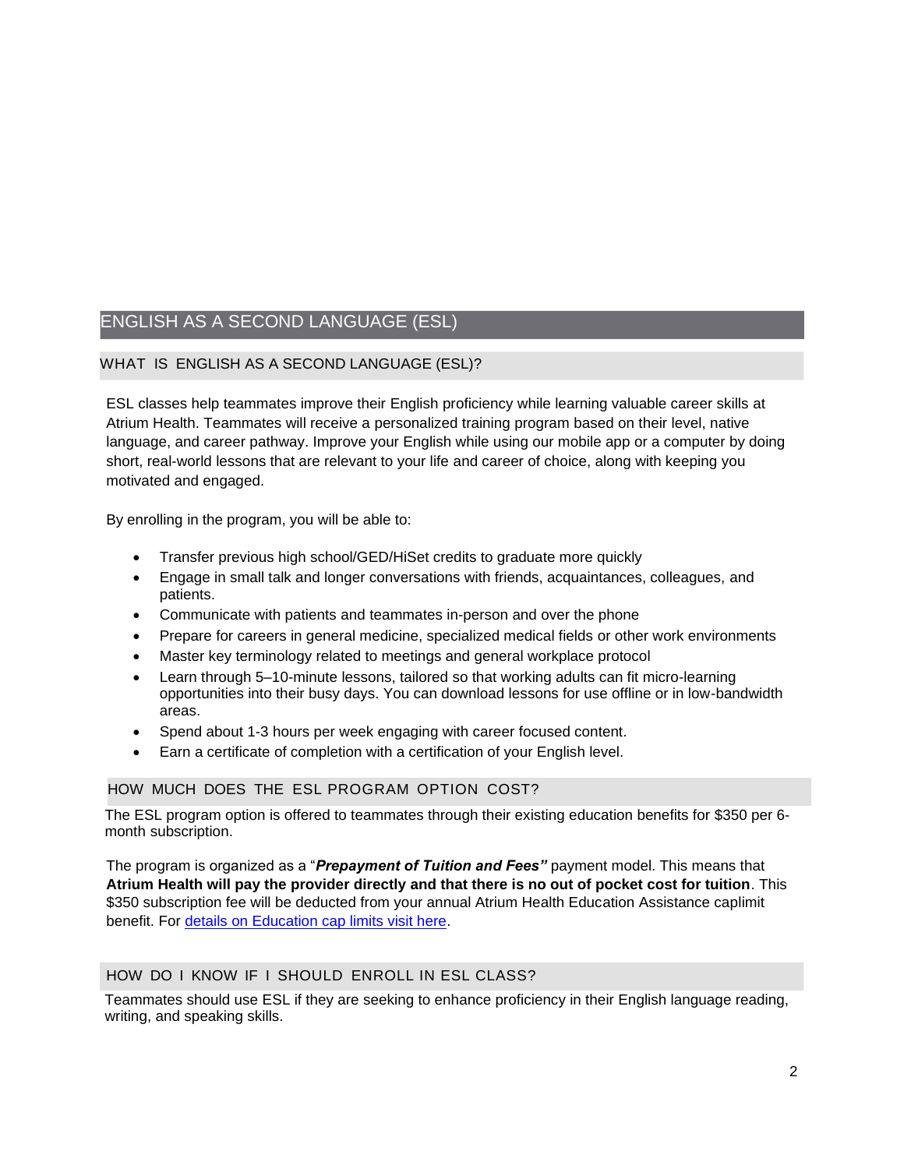## ENGLISH AS A SECOND LANGUAGE (ESL)

#### WHAT IS ENGLISH AS A SECOND LANGUAGE (ESL)?

ESL classes help teammates improve their English proficiency while learning valuable career skills at Atrium Health. Teammates will receive a personalized training program based on their level, native language, and career pathway. Improve your English while using our mobile app or a computer by doing short, real-world lessons that are relevant to your life and career of choice, along with keeping you motivated and engaged.

By enrolling in the program, you will be able to:

- Transfer previous high school/GED/HiSet credits to graduate more quickly
- Engage in small talk and longer conversations with friends, acquaintances, colleagues, and patients.
- Communicate with patients and teammates in-person and over the phone
- Prepare for careers in general medicine, specialized medical fields or other work environments
- Master key terminology related to meetings and general workplace protocol
- Learn through 5–10-minute lessons, tailored so that working adults can fit micro-learning opportunities into their busy days. You can download lessons for use offline or in low-bandwidth areas.
- Spend about 1-3 hours per week engaging with career focused content.
- Earn a certificate of completion with a certification of your English level.

#### HOW MUCH DOES THE ESL PROGRAM OPTION COST?

The ESL program option is offered to teammates through their existing education benefits for \$350 per 6 month subscription.

The program is organized as a "*Prepayment of Tuition and Fees"* payment model. This means that **Atrium Health will pay the provider directly and that there is no out of pocket cost for tuition**. This \$350 subscription fee will be deducted from your annual Atrium Health Education Assistance caplimit benefit. For [details on Education cap limits visit here.](https://teammates.atriumhealth.org/careers/career-development-center/educational-assistance)

#### HOW DO I KNOW IF I SHOULD ENROLL IN ESL CLASS?

Teammates should use ESL if they are seeking to enhance proficiency in their English language reading, writing, and speaking skills.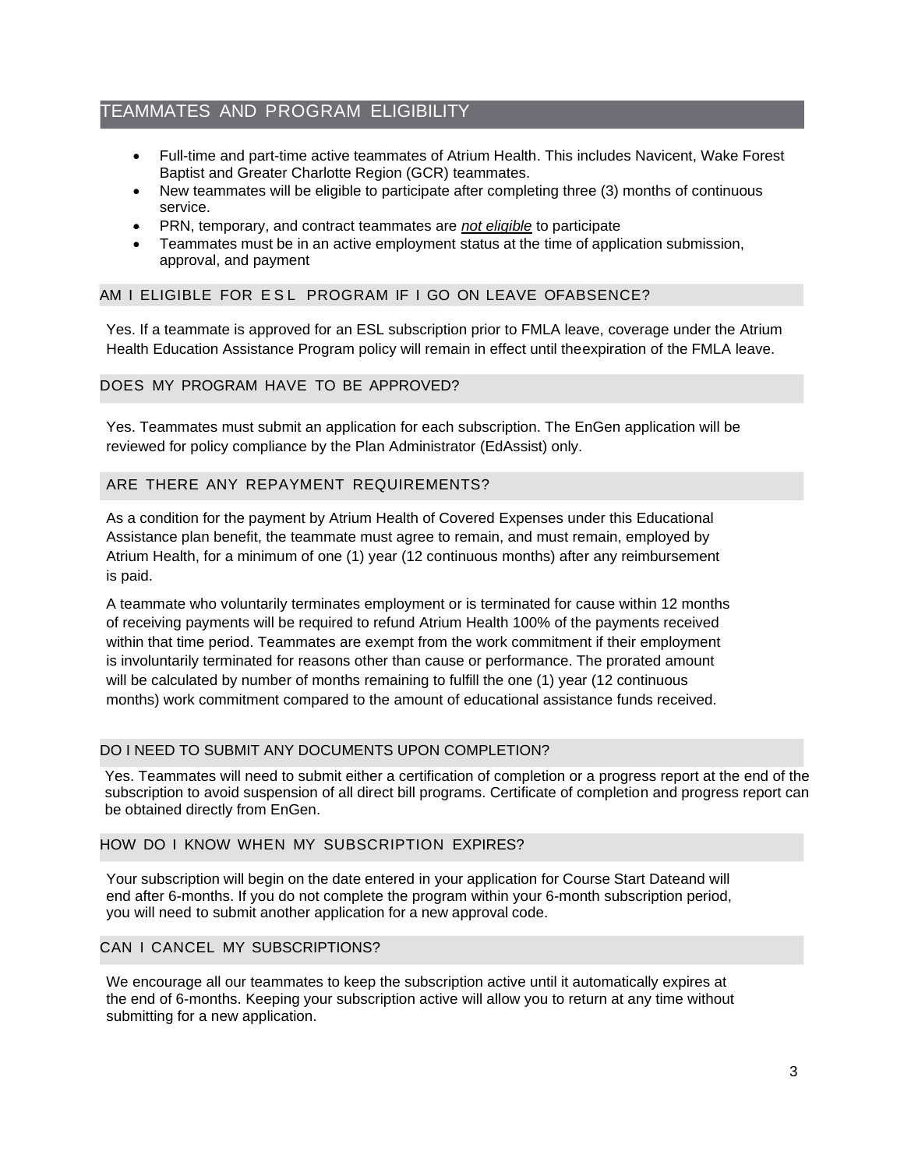### TEAMMATES AND PROGRAM ELIGIBILITY

- Full-time and part-time active teammates of Atrium Health. This includes Navicent, Wake Forest Baptist and Greater Charlotte Region (GCR) teammates.
- New teammates will be eligible to participate after completing three (3) months of continuous service.
- PRN, temporary, and contract teammates are *not eligible* to participate
- Teammates must be in an active employment status at the time of application submission, approval, and payment

#### AM I ELIGIBLE FOR E S L PROGRAM IF I GO ON LEAVE OFABSENCE?

Yes. If a teammate is approved for an ESL subscription prior to FMLA leave, coverage under the Atrium Health Education Assistance Program policy will remain in effect until theexpiration of the FMLA leave.

#### DOES MY PROGRAM HAVE TO BE APPROVED?

Yes. Teammates must submit an application for each subscription. The EnGen application will be reviewed for policy compliance by the Plan Administrator (EdAssist) only.

#### ARE THERE ANY REPAYMENT REQUIREMENTS?

As a condition for the payment by Atrium Health of Covered Expenses under this Educational Assistance plan benefit, the teammate must agree to remain, and must remain, employed by Atrium Health, for a minimum of one (1) year (12 continuous months) after any reimbursement is paid.

A teammate who voluntarily terminates employment or is terminated for cause within 12 months of receiving payments will be required to refund Atrium Health 100% of the payments received within that time period. Teammates are exempt from the work commitment if their employment is involuntarily terminated for reasons other than cause or performance. The prorated amount will be calculated by number of months remaining to fulfill the one (1) year (12 continuous months) work commitment compared to the amount of educational assistance funds received.

#### DO I NEED TO SUBMIT ANY DOCUMENTS UPON COMPLETION?

Yes. Teammates will need to submit either a certification of completion or a progress report at the end of the subscription to avoid suspension of all direct bill programs. Certificate of completion and progress report can be obtained directly from EnGen.

#### HOW DO I KNOW WHEN MY SUBSCRIPTION EXPIRES?

Your subscription will begin on the date entered in your application for Course Start Dateand will end after 6-months. If you do not complete the program within your 6-month subscription period, you will need to submit another application for a new approval code.

#### CAN I CANCEL MY SUBSCRIPTIONS?

We encourage all our teammates to keep the subscription active until it automatically expires at the end of 6-months. Keeping your subscription active will allow you to return at any time without submitting for a new application.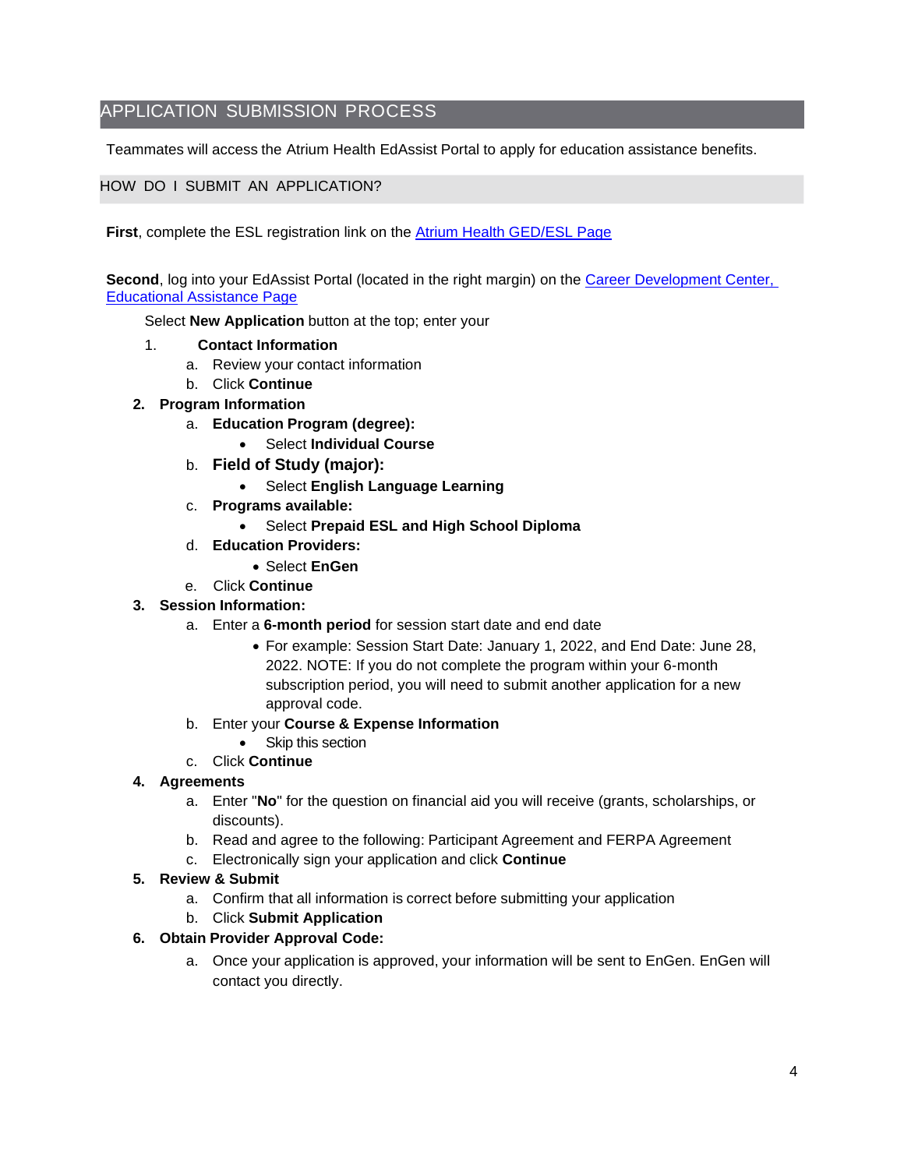## APPLICATION SUBMISSION PROCESS

Teammates will access the Atrium Health EdAssist Portal to apply for education assistance benefits.

#### HOW DO I SUBMIT AN APPLICATION?

**First**, complete the ESL registration link on the [Atrium Health GED/ESL Page](https://teammates.atriumhealth.org/careers/career-development-center/educational-assistance/ged-esl)

**Second**, log into your EdAssist Portal (located in the right margin) on the [Career Development Center,](https://teammates.atriumhealth.org/careers/career-development-center/educational-assistance)  [Educational Assistance Page](https://teammates.atriumhealth.org/careers/career-development-center/educational-assistance)

Select **New Application** button at the top; enter your

- 1. **Contact Information**
	- a. Review your contact information
	- b. Click **Continue**
- **2. Program Information**
	- a. **Education Program (degree):**
		- Select **Individual Course**
	- b. **Field of Study (major):**
		- Select **English Language Learning**
	- c. **Programs available:**
		- Select **Prepaid ESL and High School Diploma**
	- d. **Education Providers:**
		- Select **EnGen**
	- e. Click **Continue**
- **3. Session Information:**
	- a. Enter a **6-month period** for session start date and end date
		- For example: Session Start Date: January 1, 2022, and End Date: June 28, 2022. NOTE: If you do not complete the program within your 6-month subscription period, you will need to submit another application for a new approval code.
	- b. Enter your **Course & Expense Information**
		- Skip this section
	- c. Click **Continue**

#### **4. Agreements**

- a. Enter "**No**" for the question on financial aid you will receive (grants, scholarships, or discounts).
- b. Read and agree to the following: Participant Agreement and FERPA Agreement
- c. Electronically sign your application and click **Continue**
- **5. Review & Submit**
	- a. Confirm that all information is correct before submitting your application
	- b. Click **Submit Application**

#### **6. Obtain Provider Approval Code:**

a. Once your application is approved, your information will be sent to EnGen. EnGen will contact you directly.